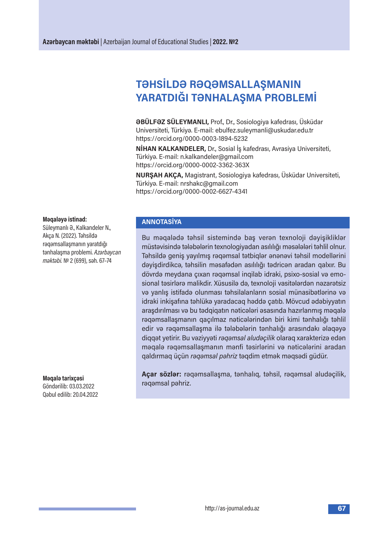# **TƏHSİLDƏ RƏQƏMSALLAŞMANIN YARATDIĞI TƏNHALAŞMA PROBLEMİ**

**ƏBÜLFƏZ SÜLEYMANLI,** Prof., Dr., Sosiologiya kafedrası, Üsküdar Universiteti, Türkiyə. E-mail: ebulfez.suleymanli@uskudar.edu.tr https://orcid.org/0000-0003-1894-5232

**NİHAN KALKANDELER,** Dr., Sosial İş kafedrası, Avrasiya Universiteti, Türkiyə. E-mail: n.kalkandeler@gmail.com https://orcid.org/0000-0002-3362-363X

**NURŞAH AKÇA,** Magistrant, Sosiologiya kafedrası, Üsküdar Universiteti, Türkiyə. E-mail: nrshakc@gmail.com https://orcid.org/0000-0002-6627-4341

#### **Məqaləyə istinad:**

Süleymanlı Ə., Kalkandeler N., Akça N. (2022). Təhsildə rəqəmsallaşmanın yaratdığı tənhalaşma problemi. *Azərbaycan məktəbi.* № 2(699), səh. 67–74

**Məqalə tarixçəsi** Göndərilib: 03.03.2022 Qəbul edilib:20.04.2022

#### **ANNOTASİYA**

Bu məqalədə təhsil sistemində baş verən texnoloji dəyişikliklər müstəvisində tələbələrin texnologiyadan asılılığı məsələləri təhlil olnur. Təhsildə geniş yayılmış rəqəmsal tətbiqlər ənənəvi təhsil modellərini dəyişdirdikcə, təhsilin məsafədən asılılığı tədricən aradan qalxır. Bu dövrdə meydana çıxan rəqəmsal inqilab idraki, psixo-sosial və emosional təsirlərə malikdir. Xüsusilə də, texnoloji vasitələrdən nəzarətsiz və yanlış istifadə olunması təhsilalanların sosial münasibətlərinə və idraki inkişafına təhlükə yaradacaq həddə çatıb. Mövcud ədəbiyyatın araşdırılması və bu tədqiqatın nəticələri əsasında hazırlanmış məqalə rəqəmsallaşmanın qaçılmaz nəticələrindən biri kimi tənhalığı təhlil edir və rəqəmsallaşma ilə tələbələrin tənhalığı arasındakı əlaqəyə diqqət yetirir. Bu vəziyyəti *rəqəmsal aludəçilik* olaraq xarakterizə edən məqalə rəqəmsallaşmanın mənfi təsirlərini və nəticələrini aradan qaldırmaq üçün *rəqəmsal pəhriz* təqdim etmək məqsədi güdür.

**Açar sözlər:** rəqəmsallaşma, tənhalıq, təhsil, rəqəmsal aludəçilik, rəqəmsal pəhriz.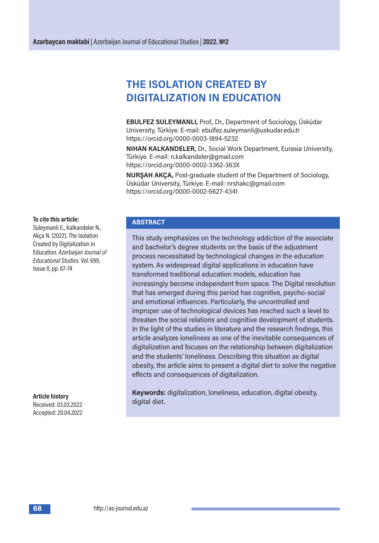## **THE ISOLATION cREATED BY DIGITALIZATION IN EDUcATION**

**EBULFEZ SULEYMANLI,** Prof., Dr., Department of Sociology, Üsküdar University, Türkiye. E-mail: ebulfez.suleymanli@uskudar.edu.tr https://orcid.org/0000-0003-1894-5232

**NIHAN KALKANDELER,** Dr., Social Work Department, Eurasia University, Türkiye. E-mail: n.kalkandeler@gmail.com https://orcid.org/0000-0002-3362-363X

**NURŞAH AKÇA,** Post-graduate student of the Department of Sociology, Üsküdar University, Türkiye. E-mail: nrshakc@gmail.com https://orcid.org/0000-0002-6627-4341

#### **To cite this article:**

Suleymanli E., Kalkandeler N., Akça N. (2022). The Isolation Created by Digitalization in Education. *Azerbaijan Journal of Educational Studies.* Vol. 699, Issue II, pp. 67–74

**Article history** Received: 03.03.2022 Accepted:20.04.2022

#### **ABSTRAcT**

This study emphasizes on the technology addiction of the associate and bachelor's degree students on the basis of the adjustment process necessitated by technological changes in the education system. As widespread digital applications in education have transformed traditional education models, education has increasingly become independent from space. The Digital revolution that has emerged during this period has cognitive, psycho-social and emotional influences. Particularly, the uncontrolled and improper use of technological devices has reached such a level to threaten the social relations and cognitive development of students. In the light of the studies in literature and the research findings, this article analyzes loneliness as one of the inevitable consequences of digitalization and focuses on the relationship between digitalization and the students' loneliness. Describing this situation as digital obesity, the article aims to present a digital diet to solve the negative effects and consequences of digitalization.

**Keywords:** digitalization, loneliness, education, digital obesity, digital diet.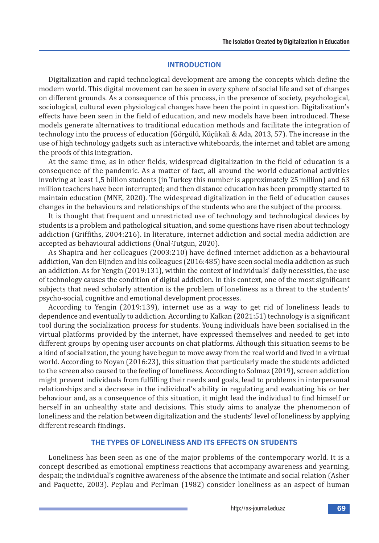#### **INTRODUcTION**

Digitalization and rapid technological development are among the concepts which define the modern world. This digital movement can be seen in every sphere of social life and set of changes on different grounds. As a consequence of this process, in the presence of society, psychological, sociological, cultural even physiological changes have been the point in question. Digitalization's effects have been seen in the field of education, and new models have been introduced. These models generate alternatives to traditional education methods and facilitate the integration of technology into the process of education (Görgülü, Küçükali & Ada, 2013, 57). The increase in the use of high technology gadgets such as interactive whiteboards, the internet and tablet are among the proofs of this integration.

At the same time, as in other fields, widespread digitalization in the field of education is a consequence of the pandemic. As a matter of fact, all around the world educational activities involving at least 1,5 billion students (in Turkey this number is approximately 25 million) and 63 million teachers have been interrupted; and then distance education has been promptly started to maintain education (MNE, 2020). The widespread digitalization in the field of education causes changes in the behaviours and relationships of the students who are the subject of the process.

It is thought that frequent and unrestricted use of technology and technological devices by students is a problem and pathological situation, and some questions have risen about technology addiction (Griffiths, 2004:216). In literature, internet addiction and social media addiction are accepted as behavioural addictions (Ünal-Tutgun, 2020).

As Shapira and her colleagues (2003:210) have defined internet addiction as a behavioural addiction, Van den Eijnden and his colleagues (2016:485) have seen social media addiction as such an addiction. As for Yengin (2019:131), within the context of individuals' daily necessities, the use of technology causes the condition of digital addiction. In this context, one of the most significant subjects that need scholarly attention is the problem of loneliness as a threat to the students' psycho-social, cognitive and emotional development processes.

According to Yengin (2019:139), internet use as a way to get rid of loneliness leads to dependence and eventually to addiction. According to Kalkan (2021:51) technology is a significant tool during the socialization process for students. Young individuals have been socialised in the virtual platforms provided by the internet, have expressed themselves and needed to get into different groups by opening user accounts on chat platforms. Although this situation seems to be a kind of socialization, the young have begun to move away from the real world and lived in a virtual world. According to Noyan (2016:23), this situation that particularly made the students addicted to the screen also caused to the feeling of loneliness. According to Solmaz (2019), screen addiction might prevent individuals from fulfilling their needs and goals, lead to problems in interpersonal relationships and a decrease in the individual's ability in regulating and evaluating his or her behaviour and, as a consequence of this situation, it might lead the individual to find himself or herself in an unhealthy state and decisions. This study aims to analyze the phenomenon of loneliness and the relation between digitalization and the students' level of loneliness by applying different research findings.

#### **THE TYPES OF LONELINESS AND ITS EFFEcTS ON STUDENTS**

Loneliness has been seen as one of the major problems of the contemporary world. It is a concept described as emotional emptiness reactions that accompany awareness and yearning, despair, the individual's cognitive awareness of the absence the intimate and social relation (Asher and Paquette, 2003). Peplau and Perlman (1982) consider loneliness as an aspect of human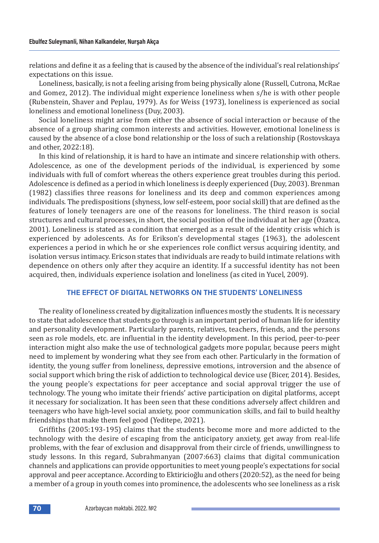relations and define it as a feeling that is caused by the absence of the individual's real relationships' expectations on this issue.

Loneliness, basically, is not a feeling arising from being physically alone (Russell, Cutrona, McRae and Gomez, 2012). The individual might experience loneliness when s/he is with other people (Rubenstein, Shaver and Peplau, 1979). As for Weiss (1973), loneliness is experienced as social loneliness and emotional loneliness (Duy, 2003).

Social loneliness might arise from either the absence of social interaction or because of the absence of a group sharing common interests and activities. However, emotional loneliness is caused by the absence of a close bond relationship or the loss of such a relationship (Rostovskaya and other, 2022:18).

In this kind of relationship, it is hard to have an intimate and sincere relationship with others. Adolescence, as one of the development periods of the individual, is experienced by some individuals with full of comfort whereas the others experience great troubles during this period. Adolescence is defined as a period in which loneliness is deeply experienced (Duy, 2003). Brenman (1982) classifies three reasons for loneliness and its deep and common experiences among individuals. The predispositions (shyness, low self-esteem, poor social skill) that are defined as the features of lonely teenagers are one of the reasons for loneliness. The third reason is social structures and cultural processes, in short, the social position of the individual at her age (Özatca, 2001). Loneliness is stated as a condition that emerged as a result of the identity crisis which is experienced by adolescents. As for Erikson's developmental stages (1963), the adolescent experiences a period in which he or she experiences role conflict versus acquiring identity, and isolation versus intimacy. Ericson states that individuals are ready to build intimate relations with dependence on others only after they acquire an identity. If a successful identity has not been acquired, then, individuals experience isolation and loneliness (as cited in Yucel, 2009).

## **THE EFFEcT OF DIGITAL NETWORKS ON THE STUDENTS' LONELINESS**

The reality of loneliness created by digitalization influences mostly the students. It is necessary to state that adolescence that students go through is an important period of human life for identity and personality development. Particularly parents, relatives, teachers, friends, and the persons seen as role models, etc. are influential in the identity development. In this period, peer-to-peer interaction might also make the use of technological gadgets more popular, because peers might need to implement by wondering what they see from each other. Particularly in the formation of identity, the young suffer from loneliness, depressive emotions, introversion and the absence of social support which bring the risk of addiction to technological device use (Bicer, 2014). Besides, the young people's expectations for peer acceptance and social approval trigger the use of technology. The young who imitate their friends' active participation on digital platforms, accept it necessary for socialization. It has been seen that these conditions adversely affect children and teenagers who have high-level social anxiety, poor communication skills, and fail to build healthy friendships that make them feel good (Yeditepe, 2021).

Griffiths (2005:193-195) claims that the students become more and more addicted to the technology with the desire of escaping from the anticipatory anxiety, get away from real-life problems, with the fear of exclusion and disapproval from their circle of friends, unwillingness to study lessons. In this regard, Subrahmanyan (2007:663) claims that digital communication channels and applications can provide opportunities to meet young people's expectations for social approval and peer acceptance. According to Ektiricioğlu and others (2020:52), as the need for being a member of a group in youth comes into prominence, the adolescents who see loneliness as a risk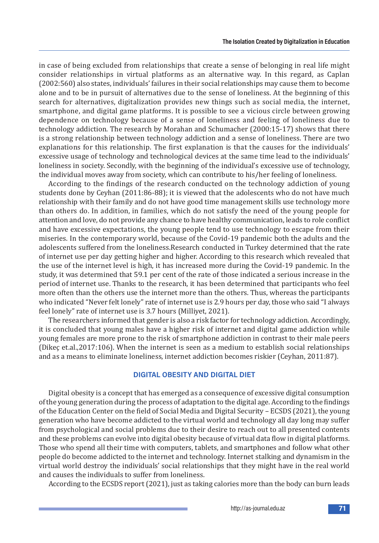in case of being excluded from relationships that create a sense of belonging in real life might consider relationships in virtual platforms as an alternative way. In this regard, as Caplan (2002:560) also states, individuals' failures in their social relationships may cause them to become alone and to be in pursuit of alternatives due to the sense of loneliness. At the beginning of this search for alternatives, digitalization provides new things such as social media, the internet, smartphone, and digital game platforms. It is possible to see a vicious circle between growing dependence on technology because of a sense of loneliness and feeling of loneliness due to technology addiction. The research by Morahan and Schumacher (2000:15-17) shows that there is a strong relationship between technology addiction and a sense of loneliness. There are two explanations for this relationship. The first explanation is that the causes for the individuals' excessive usage of technology and technological devices at the same time lead to the individuals' loneliness in society. Secondly, with the beginning of the individual's excessive use of technology, the individual moves away from society, which can contribute to his/her feeling of loneliness.

According to the findings of the research conducted on the technology addiction of young students done by Ceyhan (2011:86-88); it is viewed that the adolescents who do not have much relationship with their family and do not have good time management skills use technology more than others do. In addition, in families, which do not satisfy the need of the young people for attention and love, do not provide any chance to have healthy communication, leads to role conflict and have excessive expectations, the young people tend to use technology to escape from their miseries. In the contemporary world, because of the Covid-19 pandemic both the adults and the adolescents suffered from the loneliness.Research conducted in Turkey determined that the rate of internet use per day getting higher and higher. According to this research which revealed that the use of the internet level is high, it has increased more during the Covid-19 pandemic. In the study, it was determined that 59.1 per cent of the rate of those indicated a serious increase in the period of internet use. Thanks to the research, it has been determined that participants who feel more often than the others use the internet more than the others. Thus, whereas the participants who indicated "Never felt lonely" rate of internet use is 2.9 hours per day, those who said "I always feel lonely" rate of internet use is 3.7 hours (Milliyet, 2021).

The researchers informed that gender is also a risk factor for technology addiction. Accordingly, it is concluded that young males have a higher risk of internet and digital game addiction while young females are more prone to the risk of smartphone addiction in contrast to their male peers (Dikeç et.al.,2017:106). When the internet is seen as a medium to establish social relationships and as a means to eliminate loneliness, internet addiction becomes riskier (Ceyhan, 2011:87).

## **DIGITAL OBESITY AND DIGITAL DIET**

Digital obesity is a concept that has emerged as a consequence of excessive digital consumption of the young generation during the process of adaptation to the digital age. According to the findings of the Education Center on the field of Social Media and Digital Security – ECSDS (2021), the young generation who have become addicted to the virtual world and technology all day long may suffer from psychological and social problems due to their desire to reach out to all presented contents and these problems can evolve into digital obesity because of virtual data flow in digital platforms. Those who spend all their time with computers, tablets, and smartphones and follow what other people do become addicted to the internet and technology. Internet stalking and dynamism in the virtual world destroy the individuals' social relationships that they might have in the real world and causes the individuals to suffer from loneliness.

According to the ECSDS report (2021), just as taking calories more than the body can burn leads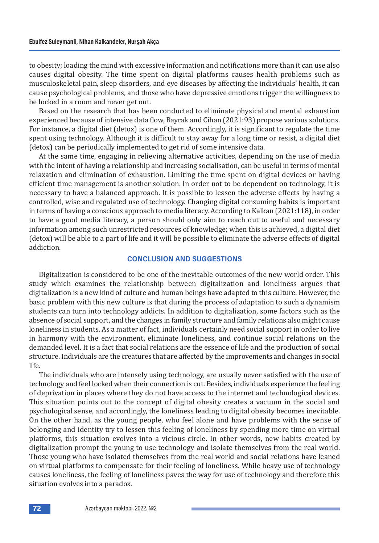to obesity; loading the mind with excessive information and notifications more than it can use also causes digital obesity. The time spent on digital platforms causes health problems such as musculoskeletal pain, sleep disorders, and eye diseases by affecting the individuals' health, it can cause psychological problems, and those who have depressive emotions trigger the willingness to be locked in a room and never get out.

Based on the research that has been conducted to eliminate physical and mental exhaustion experienced because of intensive data flow, Bayrak and Cihan (2021:93) propose various solutions. For instance, a digital diet (detox) is one of them. Accordingly, it is significant to regulate the time spent using technology. Although it is difficult to stay away for a long time or resist, a digital diet (detox) can be periodically implemented to get rid of some intensive data.

At the same time, engaging in relieving alternative activities, depending on the use of media with the intent of having a relationship and increasing socialisation, can be useful in terms of mental relaxation and elimination of exhaustion. Limiting the time spent on digital devices or having efficient time management is another solution. In order not to be dependent on technology, it is necessary to have a balanced approach. It is possible to lessen the adverse effects by having a controlled, wise and regulated use of technology. Changing digital consuming habits is important in terms of having a conscious approach to media literacy. According to Kalkan (2021:118), in order to have a good media literacy, a person should only aim to reach out to useful and necessary information among such unrestricted resources of knowledge; when this is achieved, a digital diet (detox) will be able to a part of life and it will be possible to eliminate the adverse effects of digital addiction.

#### **cONcLUSION AND SUGGESTIONS**

Digitalization is considered to be one of the inevitable outcomes of the new world order. This study which examines the relationship between digitalization and loneliness argues that digitalization is a new kind of culture and human beings have adapted to this culture. However, the basic problem with this new culture is that during the process of adaptation to such a dynamism students can turn into technology addicts. In addition to digitalization, some factors such as the absence of social support, and the changes in family structure and family relations also might cause loneliness in students. As a matter of fact, individuals certainly need social support in order to live in harmony with the environment, eliminate loneliness, and continue social relations on the demanded level. It is a fact that social relations are the essence of life and the production of social structure. Individuals are the creatures that are affected by the improvements and changes in social life.

The individuals who are intensely using technology, are usually never satisfied with the use of technology and feel locked when their connection is cut. Besides, individuals experience the feeling of deprivation in places where they do not have access to the internet and technological devices. This situation points out to the concept of digital obesity creates a vacuum in the social and psychological sense, and accordingly, the loneliness leading to digital obesity becomes inevitable. On the other hand, as the young people, who feel alone and have problems with the sense of belonging and identity try to lessen this feeling of loneliness by spending more time on virtual platforms, this situation evolves into a vicious circle. In other words, new habits created by digitalization prompt the young to use technology and isolate themselves from the real world. Those young who have isolated themselves from the real world and social relations have leaned on virtual platforms to compensate for their feeling of loneliness. While heavy use of technology causes loneliness, the feeling of loneliness paves the way for use of technology and therefore this situation evolves into a paradox.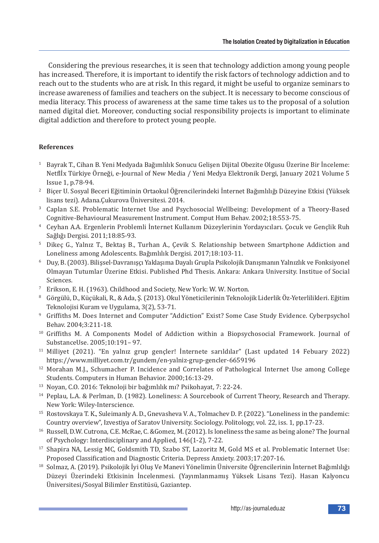Considering the previous researches, it is seen that technology addiction among young people has increased. Therefore, it is important to identify the risk factors of technology addiction and to reach out to the students who are at risk. In this regard, it might be useful to organize seminars to increase awareness of families and teachers on the subject. It is necessary to become conscious of media literacy. This process of awareness at the same time takes us to the proposal of a solution named digital diet. Moreover, conducting social responsibility projects is important to eliminate digital addiction and therefore to protect young people.

## **References**

- <sup>1</sup> Bayrak T., Cihan B. Yeni Medyada Bağımlılık Sonucu Gelişen Dijital Obezite Olgusu Üzerine Bir İnceleme: Netflİx Türkiye Örneği, e-Journal of New Media / Yeni Medya Elektronik Dergi, January 2021 Volume 5 Issue 1, p.78-94.
- <sup>2</sup> Biçer U. Sosyal Beceri Eğitiminin Ortaokul Öğrencilerindeki İnternet Bağımlılığı Düzeyine Etkisi (Yüksek lisans tezi). Adana.Çukurova Üniversitesi. 2014.
- <sup>3</sup> Caplan S.E. Problematic Internet Use and Psychosocial Wellbeing: Development of a Theory-Based Cognitive-Behavioural Measurement Instrument. Comput Hum Behav. 2002;18:553-75.
- <sup>4</sup> Ceyhan A.A. Ergenlerin Problemli İnternet Kullanım Düzeylerinin Yordayıcıları. Çocuk ve Gençlik Ruh Sağlığı Dergisi. 2011;18:85-93.
- <sup>5</sup> Dikeç G., Yalnız T., Bektaş B., Turhan A., Çevik S. Relationship between Smartphone Addiction and Loneliness among Adolescents. Bağımlılık Dergisi. 2017;18:103-11.
- <sup>6</sup> Duy, B.(2003). Bilişsel-Davranışçı Yaklaşıma Dayalı Grupla Psikolojik Danışmanın Yalnızlık ve Fonksiyonel Olmayan Tutumlar Üzerine Etkisi. Published Phd Thesis. Ankara: Ankara University. Institue of Social Sciences.
- <sup>7</sup> Erikson, E. H. (1963). Childhood and Society, New York: W. W. Norton.
- <sup>8</sup> Görgülü, D., Küçükali, R., & Ada, Ş.(2013). Okul Yöneticilerinin Teknolojik Liderlik Öz-Yeterlilikleri. Eğitim Teknolojisi Kuram ve Uygulama, 3(2), 53-71.
- <sup>9</sup> Griffiths M. Does Internet and Computer "Addiction" Exist? Some Case Study Evidence. Cyberpsychol Behav. 2004;3:211-18.
- <sup>10</sup> Griffiths M. A Components Model of Addiction within a Biopsychosocial Framework. Journal of SubstanceUse. 2005;10:191– 97.
- <sup>11</sup> Milliyet (2021). "En yalnız grup gençler! İnternete sarıldılar" (Last updated 14 Febuary 2022) https://www.milliyet.com.tr/gundem/en-yalniz-grup-gencler-6659196
- <sup>12</sup> Morahan M.J., Schumacher P. Incidence and Correlates of Pathological Internet Use among College Students. Computers in Human Behavior. 2000;16:13-29.
- <sup>13</sup> Noyan, C.O. 2016: Teknoloji bir bağımlılık mı? Psikohayat, 7: 22-24.
- <sup>14</sup> Peplau, L.A. & Perlman, D. (1982). Loneliness: A Sourcebook of Current Theory, Research and Therapy. New York: Wiley-Interscience.
- <sup>15</sup> Rostovskaya T. K., Suleimanly A. D., Gnevasheva V. A., Tolmachev D. P. (2022). "Loneliness in the pandemic: Country overview", Izvestiya of Saratov University. Sociology. Politology, vol. 22, iss. 1, pp.17-23.
- <sup>16</sup> Russell, D.W. Cutrona, C.E. McRae, C. &Gomez, M.(2012). Is loneliness the same as being alone? The Journal of Psychology: Interdisciplinary and Applied, 146(1-2), 7-22.
- <sup>17</sup> Shapira NA, Lessig MC, Goldsmith TD, Szabo ST, Lazoritz M, Gold MS et al. Problematic Internet Use: Proposed Classification and Diagnostic Criteria. Depress Anxiety. 2003;17:207-16.
- <sup>18</sup> Solmaz, A. (2019). Psikolojik İyi Oluş Ve Manevi Yönelimin Üniversite Öğrencilerinin İnternet Bağımlılığı Düzeyi Üzerindeki Etkisinin İncelenmesi. (Yayımlanmamış Yüksek Lisans Tezi). Hasan Kalyoncu Üniversitesi/Sosyal Bilimler Enstitüsü, Gaziantep.